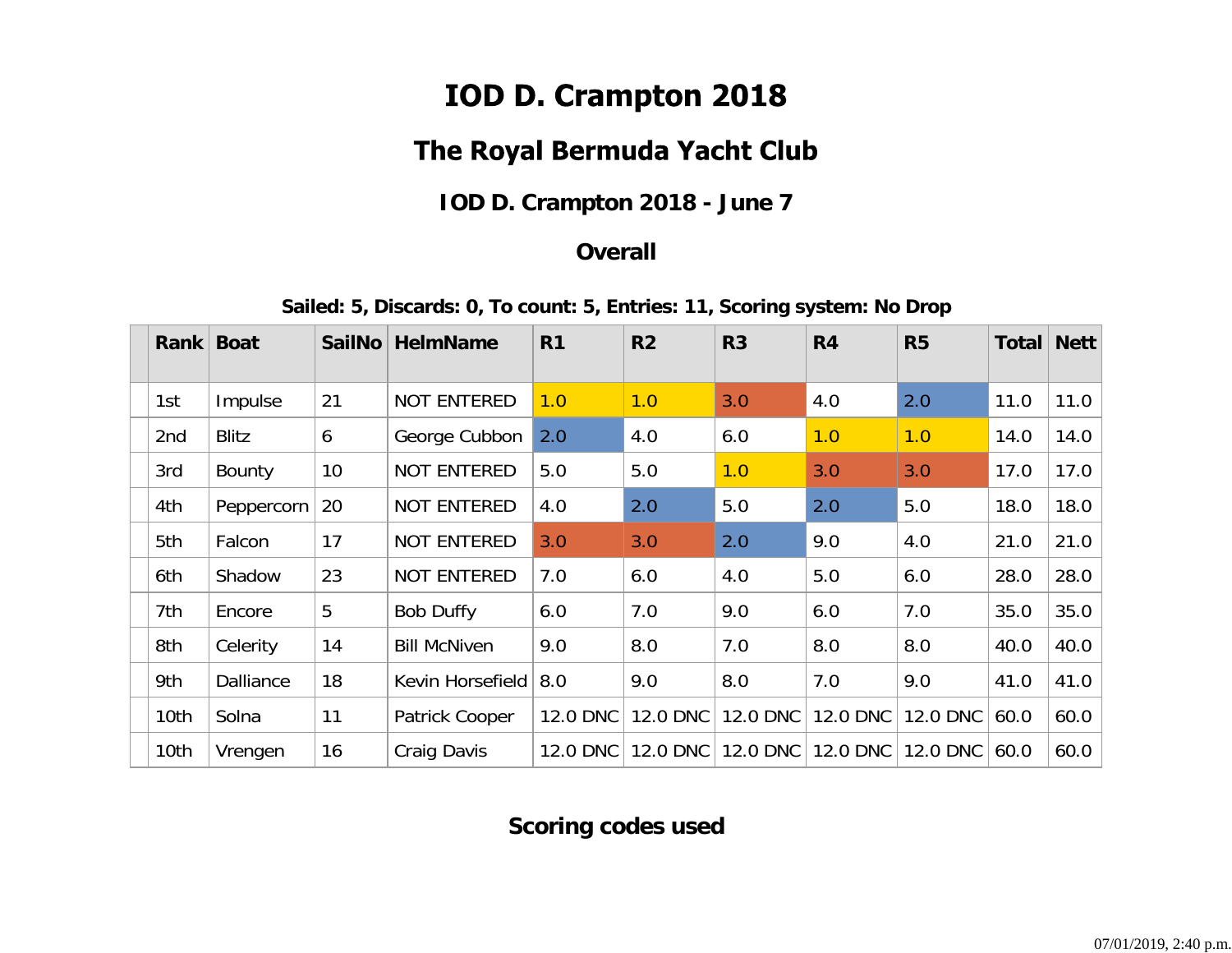# IOD D. Crampton 2018

## The Royal Bermuda Yacht Club

### **IOD D. Crampton 2018 - June 7**

#### **Overall**

**Sailed: 5, Discards: 0, To count: 5, Entries: 11, Scoring system: No Drop**

| <b>Rank</b> | <b>Boat</b>      | <b>SailNo</b> | <b>HelmName</b>     | R <sub>1</sub> | R <sub>2</sub> | R <sub>3</sub> | R <sub>4</sub> | R <sub>5</sub> | <b>Total</b> | <b>Nett</b> |
|-------------|------------------|---------------|---------------------|----------------|----------------|----------------|----------------|----------------|--------------|-------------|
| 1st         | Impulse          | 21            | <b>NOT ENTERED</b>  | 1.0            | 1.0            | 3.0            | 4.0            | 2.0            | 11.0         | 11.0        |
| 2nd         | <b>Blitz</b>     | 6             | George Cubbon       | 2.0            | 4.0            | 6.0            | 1.0            | 1.0            | 14.0         | 14.0        |
| 3rd         | <b>Bounty</b>    | 10            | <b>NOT ENTERED</b>  | 5.0            | 5.0            | 1.0            | 3.0            | 3.0            | 17.0         | 17.0        |
| 4th         | Peppercorn       | 20            | <b>NOT ENTERED</b>  | 4.0            | 2.0            | 5.0            | 2.0            | 5.0            | 18.0         | 18.0        |
| 5th         | Falcon           | 17            | <b>NOT ENTERED</b>  | 3.0            | 3.0            | 2.0            | 9.0            | 4.0            | 21.0         | 21.0        |
| 6th         | Shadow           | 23            | <b>NOT ENTERED</b>  | 7.0            | 6.0            | 4.0            | 5.0            | 6.0            | 28.0         | 28.0        |
| 7th         | Encore           | 5             | <b>Bob Duffy</b>    | 6.0            | 7.0            | 9.0            | 6.0            | 7.0            | 35.0         | 35.0        |
| 8th         | Celerity         | 14            | <b>Bill McNiven</b> | 9.0            | 8.0            | 7.0            | 8.0            | 8.0            | 40.0         | 40.0        |
| 9th         | <b>Dalliance</b> | 18            | Kevin Horsefield    | 8.0            | 9.0            | 8.0            | 7.0            | 9.0            | 41.0         | 41.0        |
| 10th        | Solna            | 11            | Patrick Cooper      | 12.0 DNC       | 12.0 DNC       | 12.0 DNC       | 12.0 DNC       | 12.0 DNC       | 60.0         | 60.0        |
| 10th        | Vrengen          | 16            | Craig Davis         | 12.0 DNC       | 12.0 DNC       | 12.0 DNC       | 12.0 DNC       | 12.0 DNC       | 60.0         | 60.0        |

### **Scoring codes used**